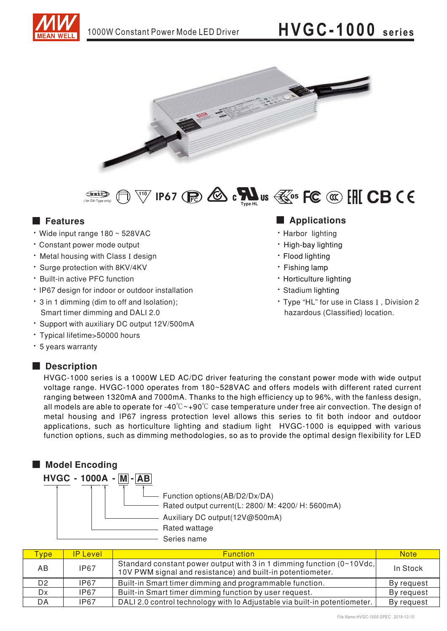# HVGC-1000 series







#### **Executer** Features

- · Wide input range 180 ~ 528VAC
- · Constant power mode output
- . Metal housing with Class I design
- · Surge protection with 8KV/4KV
- \* Built-in active PFC function
- · IP67 design for indoor or outdoor installation
- . 3 in 1 dimming (dim to off and Isolation); Smart timer dimming and DALI 2.0
- · Support with auxiliary DC output 12V/500mA
- · Typical lifetime>50000 hours
- \* 5 years warranty

#### Description

#### Applications

- · Harbor lighting
- · High-bay lighting
- · Flood lighting
- · Fishing lamp
- Horticulture lighting
- · Stadium lighting
- \* Type "HL" for use in Class I, Division 2 hazardous (Classified) location.

HVGC-1000 series is a 1000W LED AC/DC driver featuring the constant power mode with wide output voltage range. HVGC-1000 operates from 180~528VAC and offers models with different rated current ranging between 1320mA and 7000mA. Thanks to the high efficiency up to 96%, with the fanless design, all models are able to operate for -40 $\degree$ C  $\sim$ +90 $\degree$ C case temperature under free air convection. The design of metal housing and IP67 ingress protection level allows this series to fit both indoor and outdoor applications, such as horticulture lighting and stadium light HVGC-1000 is equipped with various function options, such as dimming methodologies, so as to provide the optimal design flexibility for LED



| <b>ype</b> | <b>IP Level</b> | <b>Function</b>                                                                                                                     | <b>Note</b> |
|------------|-----------------|-------------------------------------------------------------------------------------------------------------------------------------|-------------|
| AB         | <b>IP67</b>     | Standard constant power output with 3 in 1 dimming function (0~10Vdc,<br>10V PWM signal and resistance) and built-in potentiometer. | In Stock    |
| D2         | IP67            | Built-in Smart timer dimming and programmable function.                                                                             | By request  |
| <b>D</b> x | IP67            | Built-in Smart timer dimming function by user request.                                                                              | By request  |
| DA         | IP67            | DALI 2.0 control technology with Io Adjustable via built-in potentiometer.                                                          | By request  |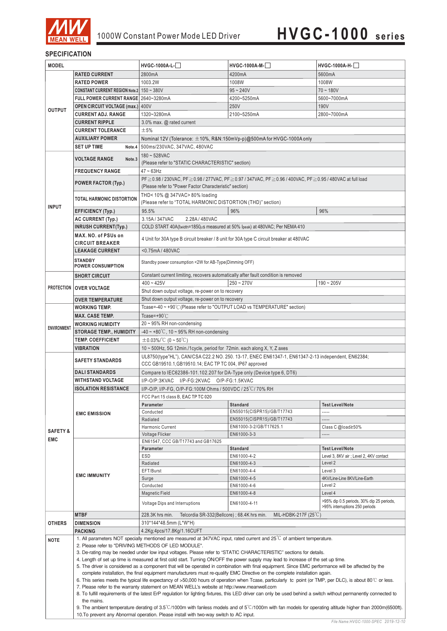

#### **SPECIFICATION**

| <b>MODEL</b>                                                                                                       |                                                                                                                                                                         | HVGC-1000A-L-                                                                                                                                                                                                                                                                             | $HVGC-1000A-M-$                                                                                                                                                  | HVGC-1000A-H-                                      |  |  |  |
|--------------------------------------------------------------------------------------------------------------------|-------------------------------------------------------------------------------------------------------------------------------------------------------------------------|-------------------------------------------------------------------------------------------------------------------------------------------------------------------------------------------------------------------------------------------------------------------------------------------|------------------------------------------------------------------------------------------------------------------------------------------------------------------|----------------------------------------------------|--|--|--|
|                                                                                                                    | <b>RATED CURRENT</b>                                                                                                                                                    | 2800mA                                                                                                                                                                                                                                                                                    | 4200mA                                                                                                                                                           | 5600mA                                             |  |  |  |
|                                                                                                                    | <b>RATED POWER</b>                                                                                                                                                      | 1003.2W                                                                                                                                                                                                                                                                                   | 1008W                                                                                                                                                            | 1008W                                              |  |  |  |
|                                                                                                                    | CONSTANT CURRENT REGION Note.2   150 ~ 380V                                                                                                                             |                                                                                                                                                                                                                                                                                           | $95 - 240V$                                                                                                                                                      | $70 - 180V$                                        |  |  |  |
|                                                                                                                    | FULL POWER CURRENT RANGE 2640~3280mA                                                                                                                                    |                                                                                                                                                                                                                                                                                           | 4200~5250mA                                                                                                                                                      | 5600~7000mA                                        |  |  |  |
|                                                                                                                    | <b>OPEN CIRCUIT VOLTAGE (max.) 400V</b>                                                                                                                                 |                                                                                                                                                                                                                                                                                           | 250V                                                                                                                                                             | 190V                                               |  |  |  |
| <b>OUTPUT</b>                                                                                                      | <b>CURRENT ADJ. RANGE</b>                                                                                                                                               | 1320~3280mA                                                                                                                                                                                                                                                                               | 2100~5250mA                                                                                                                                                      | 2800~7000mA                                        |  |  |  |
|                                                                                                                    | <b>CURRENT RIPPLE</b>                                                                                                                                                   | 3.0% max. @ rated current                                                                                                                                                                                                                                                                 |                                                                                                                                                                  |                                                    |  |  |  |
|                                                                                                                    | <b>CURRENT TOLERANCE</b>                                                                                                                                                | ±5%                                                                                                                                                                                                                                                                                       |                                                                                                                                                                  |                                                    |  |  |  |
|                                                                                                                    | <b>AUXILIARY POWER</b>                                                                                                                                                  | Nominal 12V (Tolerance: $\pm$ 10%, R&N:150mVp-p)@500mA for HVGC-1000A only                                                                                                                                                                                                                |                                                                                                                                                                  |                                                    |  |  |  |
|                                                                                                                    | <b>SET UP TIME</b>                                                                                                                                                      |                                                                                                                                                                                                                                                                                           |                                                                                                                                                                  |                                                    |  |  |  |
|                                                                                                                    | Note.4                                                                                                                                                                  | 500ms/230VAC, 347VAC, 480VAC                                                                                                                                                                                                                                                              |                                                                                                                                                                  |                                                    |  |  |  |
|                                                                                                                    | <b>VOLTAGE RANGE</b><br>Note.3                                                                                                                                          | 180~528VAC                                                                                                                                                                                                                                                                                |                                                                                                                                                                  |                                                    |  |  |  |
|                                                                                                                    |                                                                                                                                                                         | (Please refer to "STATIC CHARACTERISTIC" section)                                                                                                                                                                                                                                         |                                                                                                                                                                  |                                                    |  |  |  |
|                                                                                                                    | <b>FREQUENCY RANGE</b>                                                                                                                                                  | $47 \sim 63$ Hz                                                                                                                                                                                                                                                                           |                                                                                                                                                                  |                                                    |  |  |  |
|                                                                                                                    | <b>POWER FACTOR (Typ.)</b>                                                                                                                                              | PF ≥ 0.98 / 230VAC, PF ≥ 0.98 / 277VAC, PF ≥ 0.97 / 347VAC, PF ≥ 0.96 / 400VAC, PF ≥ 0.95 / 480VAC at full load<br>(Please refer to "Power Factor Characteristic" section)                                                                                                                |                                                                                                                                                                  |                                                    |  |  |  |
|                                                                                                                    |                                                                                                                                                                         |                                                                                                                                                                                                                                                                                           |                                                                                                                                                                  |                                                    |  |  |  |
|                                                                                                                    | <b>TOTAL HARMONIC DISTORTION</b>                                                                                                                                        | THD< 10% @ 347VAC> 80% loading<br>(Please refer to "TOTAL HARMONIC DISTORTION (THD)" section)                                                                                                                                                                                             |                                                                                                                                                                  |                                                    |  |  |  |
| <b>INPUT</b>                                                                                                       |                                                                                                                                                                         |                                                                                                                                                                                                                                                                                           |                                                                                                                                                                  |                                                    |  |  |  |
|                                                                                                                    | <b>EFFICIENCY (Typ.)</b>                                                                                                                                                | 95.5%                                                                                                                                                                                                                                                                                     | 96%                                                                                                                                                              | 96%                                                |  |  |  |
|                                                                                                                    | <b>AC CURRENT (Typ.)</b>                                                                                                                                                | 3.15A/347VAC<br>2.28A / 480VAC                                                                                                                                                                                                                                                            |                                                                                                                                                                  |                                                    |  |  |  |
|                                                                                                                    | <b>INRUSH CURRENT(Typ.)</b>                                                                                                                                             | COLD START 40A(twidth=1850µs measured at 50% Ipeak) at 480VAC; Per NEMA 410                                                                                                                                                                                                               |                                                                                                                                                                  |                                                    |  |  |  |
|                                                                                                                    | MAX. NO. of PSUs on                                                                                                                                                     | 4 Unit for 30A type B circuit breaker / 8 unit for 30A type C circuit breaker at 480VAC                                                                                                                                                                                                   |                                                                                                                                                                  |                                                    |  |  |  |
|                                                                                                                    | <b>CIRCUIT BREAKER</b>                                                                                                                                                  |                                                                                                                                                                                                                                                                                           |                                                                                                                                                                  |                                                    |  |  |  |
|                                                                                                                    | <b>LEAKAGE CURRENT</b>                                                                                                                                                  | <0.75mA/480VAC                                                                                                                                                                                                                                                                            |                                                                                                                                                                  |                                                    |  |  |  |
|                                                                                                                    | <b>STANDBY</b>                                                                                                                                                          | Standby power consumption <2W for AB-Type(Dimming OFF)                                                                                                                                                                                                                                    |                                                                                                                                                                  |                                                    |  |  |  |
|                                                                                                                    | <b>POWER CONSUMPTION</b>                                                                                                                                                |                                                                                                                                                                                                                                                                                           |                                                                                                                                                                  |                                                    |  |  |  |
|                                                                                                                    | <b>SHORT CIRCUIT</b>                                                                                                                                                    | Constant current limiting, recovers automatically after fault condition is removed                                                                                                                                                                                                        |                                                                                                                                                                  |                                                    |  |  |  |
|                                                                                                                    |                                                                                                                                                                         | $400 - 425V$                                                                                                                                                                                                                                                                              | $250 - 270V$                                                                                                                                                     | $190 - 205V$                                       |  |  |  |
|                                                                                                                    | PROTECTION   OVER VOLTAGE                                                                                                                                               | Shut down output voltage, re-power on to recovery                                                                                                                                                                                                                                         |                                                                                                                                                                  |                                                    |  |  |  |
|                                                                                                                    | <b>OVER TEMPERATURE</b>                                                                                                                                                 | Shut down output voltage, re-power on to recovery                                                                                                                                                                                                                                         |                                                                                                                                                                  |                                                    |  |  |  |
|                                                                                                                    | <b>WORKING TEMP.</b>                                                                                                                                                    | Tcase=-40 ~ +90°C (Please refer to "OUTPUT LOAD vs TEMPERATURE" section)                                                                                                                                                                                                                  |                                                                                                                                                                  |                                                    |  |  |  |
|                                                                                                                    | <b>MAX. CASE TEMP.</b>                                                                                                                                                  | Tcase=+90 $°C$                                                                                                                                                                                                                                                                            |                                                                                                                                                                  |                                                    |  |  |  |
|                                                                                                                    | <b>WORKING HUMIDITY</b>                                                                                                                                                 | 20 ~ 95% RH non-condensing                                                                                                                                                                                                                                                                |                                                                                                                                                                  |                                                    |  |  |  |
| <b>ENVIRONMENT</b>                                                                                                 | <b>STORAGE TEMP., HUMIDITY</b>                                                                                                                                          | $-40 \sim +80^{\circ}$ C, 10 ~ 95% RH non-condensing                                                                                                                                                                                                                                      |                                                                                                                                                                  |                                                    |  |  |  |
|                                                                                                                    | <b>TEMP. COEFFICIENT</b>                                                                                                                                                | $\pm$ 0.03%/°C (0 ~ 50°C)                                                                                                                                                                                                                                                                 |                                                                                                                                                                  |                                                    |  |  |  |
|                                                                                                                    | <b>VIBRATION</b>                                                                                                                                                        | 10 ~ 500Hz, 5G 12min./1cycle, period for 72min. each along X, Y, Z axes                                                                                                                                                                                                                   |                                                                                                                                                                  |                                                    |  |  |  |
|                                                                                                                    |                                                                                                                                                                         | UL8750(type"HL"), CAN/CSA C22.2 NO. 250. 13-17, ENEC EN61347-1, EN61347-2-13 independent, EN62384;                                                                                                                                                                                        |                                                                                                                                                                  |                                                    |  |  |  |
|                                                                                                                    | <b>SAFETY STANDARDS</b>                                                                                                                                                 | CCC GB19510.1, GB19510.14; EAC TP TC 004, IP67 approved                                                                                                                                                                                                                                   |                                                                                                                                                                  |                                                    |  |  |  |
|                                                                                                                    | <b>DALISTANDARDS</b>                                                                                                                                                    | Compare to IEC62386-101.102.207 for DA-Type only (Device type 6, DT6)                                                                                                                                                                                                                     |                                                                                                                                                                  |                                                    |  |  |  |
|                                                                                                                    | <b>WITHSTAND VOLTAGE</b>                                                                                                                                                | I/P-O/P:3KVAC I/P-FG:2KVAC O/P-FG:1.5KVAC                                                                                                                                                                                                                                                 |                                                                                                                                                                  |                                                    |  |  |  |
|                                                                                                                    | <b>ISOLATION RESISTANCE</b>                                                                                                                                             | I/P-O/P, I/P-FG, O/P-FG:100M Ohms / 500VDC / 25 °C/ 70% RH                                                                                                                                                                                                                                |                                                                                                                                                                  |                                                    |  |  |  |
|                                                                                                                    |                                                                                                                                                                         | FCC Part 15 class B, EAC TP TC 020                                                                                                                                                                                                                                                        |                                                                                                                                                                  |                                                    |  |  |  |
|                                                                                                                    | <b>EMC EMISSION</b>                                                                                                                                                     | Parameter                                                                                                                                                                                                                                                                                 | <b>Standard</b>                                                                                                                                                  | <b>Test Level/Note</b>                             |  |  |  |
|                                                                                                                    |                                                                                                                                                                         | Conducted                                                                                                                                                                                                                                                                                 | EN55015(CISPR15)/GB/T17743                                                                                                                                       |                                                    |  |  |  |
|                                                                                                                    |                                                                                                                                                                         | Radiated                                                                                                                                                                                                                                                                                  | EN55015(CISPR15)/GB/T17743                                                                                                                                       | -----                                              |  |  |  |
| <b>SAFETY &amp;</b>                                                                                                |                                                                                                                                                                         | Harmonic Current                                                                                                                                                                                                                                                                          | EN61000-3-2/GB/T17625.1                                                                                                                                          | Class C @load≥50%                                  |  |  |  |
|                                                                                                                    |                                                                                                                                                                         | Voltage Flicker                                                                                                                                                                                                                                                                           | EN61000-3-3                                                                                                                                                      |                                                    |  |  |  |
| <b>EMC</b>                                                                                                         | <b>EMC IMMUNITY</b>                                                                                                                                                     | EN61547, CCC GB/T17743 and GB17625                                                                                                                                                                                                                                                        |                                                                                                                                                                  |                                                    |  |  |  |
|                                                                                                                    |                                                                                                                                                                         | Parameter                                                                                                                                                                                                                                                                                 | <b>Standard</b>                                                                                                                                                  | <b>Test Level/Note</b>                             |  |  |  |
|                                                                                                                    |                                                                                                                                                                         | ESD                                                                                                                                                                                                                                                                                       | EN61000-4-2                                                                                                                                                      | Level 3, 8KV air ; Level 2, 4KV contact<br>Level 2 |  |  |  |
|                                                                                                                    |                                                                                                                                                                         | Radiated<br>EFT/Burst                                                                                                                                                                                                                                                                     | EN61000-4-3<br>EN61000-4-4                                                                                                                                       | Level 3                                            |  |  |  |
|                                                                                                                    |                                                                                                                                                                         | Surge                                                                                                                                                                                                                                                                                     | EN61000-4-5                                                                                                                                                      | 4KV/Line-Line 8KV/Line-Earth                       |  |  |  |
|                                                                                                                    |                                                                                                                                                                         | Conducted                                                                                                                                                                                                                                                                                 | EN61000-4-6                                                                                                                                                      | Level 2                                            |  |  |  |
|                                                                                                                    |                                                                                                                                                                         | Magnetic Field                                                                                                                                                                                                                                                                            | EN61000-4-8                                                                                                                                                      | Level 4                                            |  |  |  |
|                                                                                                                    |                                                                                                                                                                         |                                                                                                                                                                                                                                                                                           |                                                                                                                                                                  | >95% dip 0.5 periods, 30% dip 25 periods,          |  |  |  |
|                                                                                                                    |                                                                                                                                                                         | Voltage Dips and Interruptions                                                                                                                                                                                                                                                            | EN61000-4-11                                                                                                                                                     | >95% interruptions 250 periods                     |  |  |  |
|                                                                                                                    | <b>MTBF</b>                                                                                                                                                             | Telcordia SR-332(Bellcore); 68.4K hrs min.<br>228.3K hrs min.                                                                                                                                                                                                                             | MIL-HDBK-217F $(25^{\circ}C)$                                                                                                                                    |                                                    |  |  |  |
| <b>OTHERS</b>                                                                                                      | <b>DIMENSION</b>                                                                                                                                                        | 310*144*48.5mm (L*W*H)                                                                                                                                                                                                                                                                    |                                                                                                                                                                  |                                                    |  |  |  |
|                                                                                                                    | <b>PACKING</b>                                                                                                                                                          | 4.2Kg;4pcs/17.8Kg/1.16CUFT                                                                                                                                                                                                                                                                |                                                                                                                                                                  |                                                    |  |  |  |
| <b>NOTE</b>                                                                                                        |                                                                                                                                                                         | 1. All parameters NOT specially mentioned are measured at 347VAC input, rated current and 25 <sup>°</sup> C of ambient temperature.                                                                                                                                                       |                                                                                                                                                                  |                                                    |  |  |  |
|                                                                                                                    | 2. Please refer to "DRIVING METHODS OF LED MODULE".                                                                                                                     |                                                                                                                                                                                                                                                                                           |                                                                                                                                                                  |                                                    |  |  |  |
| 3. De-rating may be needed under low input voltages. Please refer to "STATIC CHARACTERISTIC" sections for details. |                                                                                                                                                                         |                                                                                                                                                                                                                                                                                           |                                                                                                                                                                  |                                                    |  |  |  |
|                                                                                                                    |                                                                                                                                                                         | 4. Length of set up time is measured at first cold start. Turning ON/OFF the power supply may lead to increase of the set up time.<br>5. The driver is considered as a component that will be operated in combination with final equipment. Since EMC performance will be affected by the |                                                                                                                                                                  |                                                    |  |  |  |
|                                                                                                                    |                                                                                                                                                                         |                                                                                                                                                                                                                                                                                           |                                                                                                                                                                  |                                                    |  |  |  |
|                                                                                                                    |                                                                                                                                                                         | complete installation, the final equipment manufacturers must re-qualify EMC Directive on the complete installation again.<br>6. This series meets the typical life expectancy of >50,000 hours of operation when Tcase, particularly tc point (or TMP, per DLC), is about 80 °C or less. |                                                                                                                                                                  |                                                    |  |  |  |
|                                                                                                                    |                                                                                                                                                                         | 7. Please refer to the warranty statement on MEAN WELL's website at http://www.meanwell.com                                                                                                                                                                                               |                                                                                                                                                                  |                                                    |  |  |  |
|                                                                                                                    |                                                                                                                                                                         |                                                                                                                                                                                                                                                                                           | 8. To fulfill requirements of the latest ErP regulation for lighting fixtures, this LED driver can only be used behind a switch without permanently connected to |                                                    |  |  |  |
|                                                                                                                    | the mains.<br>9. The ambient temperature derating of 3.5°C/1000m with fanless models and of 5°C/1000m with fan models for operating altitude higher than 2000m(6500ft). |                                                                                                                                                                                                                                                                                           |                                                                                                                                                                  |                                                    |  |  |  |
|                                                                                                                    |                                                                                                                                                                         |                                                                                                                                                                                                                                                                                           |                                                                                                                                                                  |                                                    |  |  |  |

10. To prevent any Abnormal operation. Please install with two-way switch to AC input.

*File Name:HVGC-1000-SPEC 2019-12-10*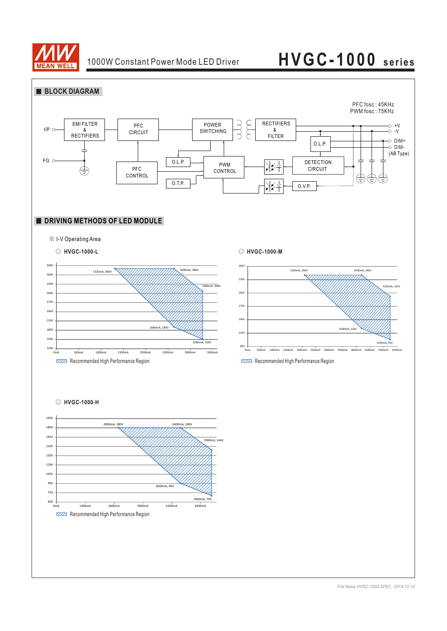

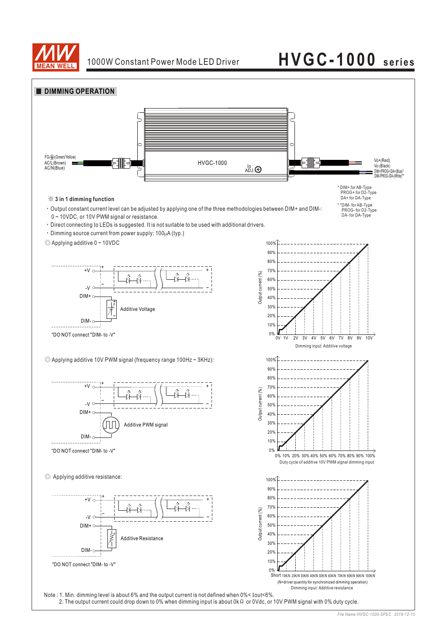

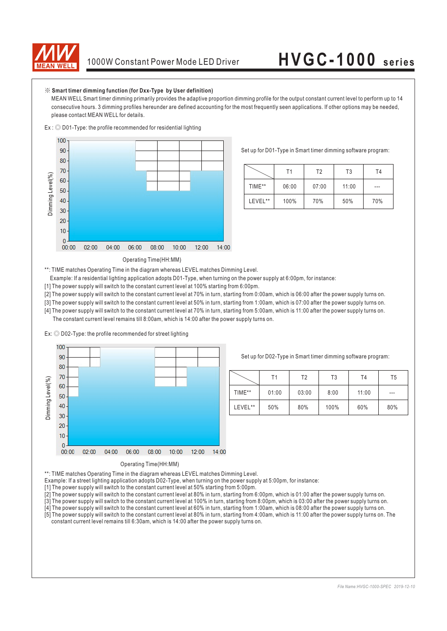

#### ※ **Smart timer dimming function (for Dxx-Type by User definition)**

MEAN WELL Smart timer dimming primarily provides the adaptive proportion dimming profile for the output constant current level to perform up to 14 consecutive hours. 3 dimming profiles hereunder are defined accounting for the most frequently seen applications. If other options may be needed, please contact MEAN WELL for details.



Set up for D01-Type in Smart timer dimming software program:

|         | Τ1    | T <sub>2</sub> | T3    | Τ4  |
|---------|-------|----------------|-------|-----|
| TIME**  | 06:00 | 07:00          | 11:00 | --- |
| LEVEL** | 100%  | 70%            | 50%   | 70% |

Operating Time(HH:MM)

\*\*: TIME matches Operating Time in the diagram whereas LEVEL matches Dimming Level.

Example: If a residential lighting application adopts D01-Type, when turning on the power supply at 6:00pm, for instance:

[1] The power supply will switch to the constant current level at 100% starting from 6:00pm.

[2] The power supply will switch to the constant current level at 70% in turn, starting from 0:00am, which is 06:00 after the power supply turns on.

[3] The power supply will switch to the constant current level at 50% in turn, starting from 1:00am, which is 07:00 after the power supply turns on.

[4] The power supply will switch to the constant current level at 70% in turn, starting from 5:00am, which is 11:00 after the power supply turns on.

The constant current level remains till 8:00am, which is 14:00 after the power supply turns on.





Set up for D02-Type in Smart timer dimming software program:

|         | Τ1    | T <sub>2</sub> | T3   | T4    | T <sub>5</sub> |
|---------|-------|----------------|------|-------|----------------|
| TIME**  | 01:00 | 03:00          | 8:00 | 11:00 | $---$          |
| LEVEL** | 50%   | 80%            | 100% | 60%   | 80%            |

\*\*: TIME matches Operating Time in the diagram whereas LEVEL matches Dimming Level.

Example: If a street lighting application adopts D02-Type, when turning on the power supply at 5:00pm, for instance:

[1] The power supply will switch to the constant current level at 50% starting from 5:00pm.

[2] The power supply will switch to the constant current level at 80% in turn, starting from 6:00pm, which is 01:00 after the power supply turns on.

[3] The power supply will switch to the constant current level at 100% in turn, starting from 8:00pm, which is 03:00 after the power supply turns on.

[4] The power supply will switch to the constant current level at 60% in turn, starting from 1:00am, which is 08:00 after the power supply turns on.

[5] The power supply will switch to the constant current level at 80% in turn, starting from 4:00am, which is 11:00 after the power supply turns on. The constant current level remains till 6:30am, which is 14:00 after the power supply turns on.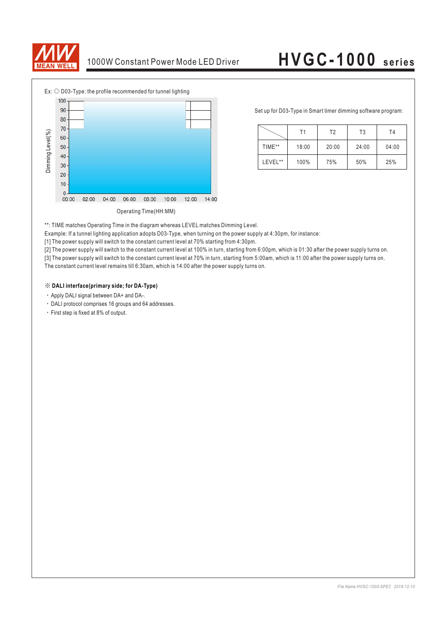



Set up for D03-Type in Smart timer dimming software program:

|         | Τ1    | T2    | T3    | T4    |
|---------|-------|-------|-------|-------|
| TIME**  | 18:00 | 20:00 | 24:00 | 04:00 |
| LEVEL** | 100%  | 75%   | 50%   | 25%   |

\*\*: TIME matches Operating Time in the diagram whereas LEVEL matches Dimming Level.

Example: If a tunnel lighting application adopts D03-Type, when turning on the power supply at 4:30pm, for instance:

[1] The power supply will switch to the constant current level at 70% starting from 4:30pm.

[2] The power supply will switch to the constant current level at 100% in turn, starting from 6:00pm, which is 01:30 after the power supply turns on.

[3] The power supply will switch to the constant current level at 70% in turn, starting from 5:00am, which is 11:00 after the power supply turns on. The constant current level remains till 6:30am, which is 14:00 after the power supply turns on.

#### ※ **DALI interface(primary side; for DA-Type)**

- Apply DALI signal between DA+ and DA-.
- DALI protocol comprises 16 groups and 64 addresses.
- First step is fixed at 8% of output.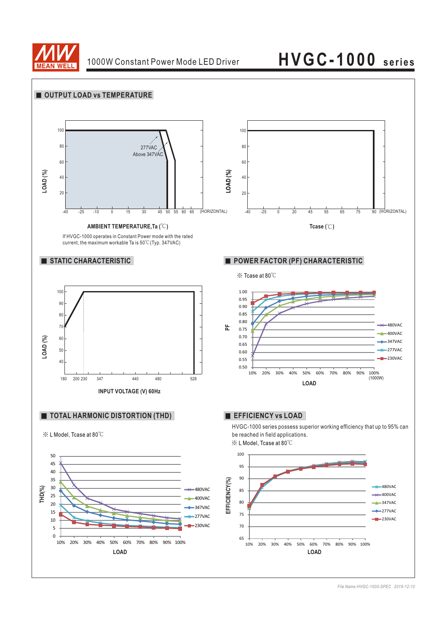

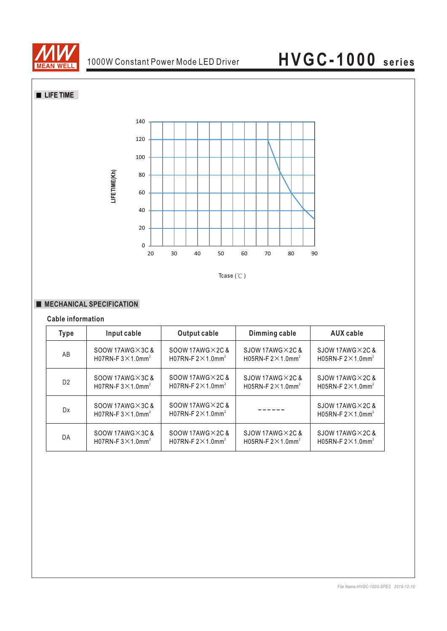

**LIFE TIME** 



Tcase  $($ °C $)$ 

#### **MECHANICAL SPECIFICATION**

**LIFETIME(Kh)**

#### **Cable information**

| <b>Type</b>    | Input cable                                                        | <b>Output cable</b>                                                | Dimming cable                          | <b>AUX</b> cable                                                      |
|----------------|--------------------------------------------------------------------|--------------------------------------------------------------------|----------------------------------------|-----------------------------------------------------------------------|
| AB             | SOOW 17AWG $\times$ 3C &                                           | $SOOW$ 17AWG $\times$ 2C &                                         | SJOW 17AWG $\times$ 2C &               | SJOW 17AWG $\times$ 2C &                                              |
|                | H07RN-F $3 \times 1.0$ mm <sup>2</sup>                             | H07RN-F $2 \times 1.0$ mm <sup>2</sup>                             | H05RN-F $2 \times 1.0$ mm <sup>2</sup> | H05RN-F $2 \times 1.0$ mm <sup>2</sup>                                |
| D <sub>2</sub> | SOOW 17AWG $\times$ 3C &                                           | SOOW 17AWG $\times$ 2C &                                           | SJOW 17AWG $\times$ 2C &               | SJOW 17AWG $\times$ 2C &                                              |
|                | H07RN-F $3 \times 1.0$ mm <sup>2</sup>                             | H07RN-F $2 \times 1.0$ mm <sup>2</sup>                             | H05RN-F $2 \times 1.0$ mm <sup>2</sup> | H05RN-F $2 \times 1.0$ mm <sup>2</sup>                                |
| Dx             | SOOW 17AWG $\times$ 3C &<br>H07RN-F $3 \times 1.0$ mm <sup>2</sup> | SOOW 17AWG $\times$ 2C &<br>H07RN-F $2 \times 1.0$ mm <sup>2</sup> |                                        | $S$ JOW 17AWG $\times$ 2C &<br>H05RN-F $2 \times 1.0$ mm <sup>2</sup> |
| DA             | SOOW 17AWG $\times$ 3C &                                           | SOOW 17AWG $\times$ 2C &                                           | SJOW 17AWG $\times$ 2C &               | SJOW 17AWG $\times$ 2C &                                              |
|                | H07RN-F $3 \times 1.0$ mm <sup>2</sup>                             | H07RN-F $2 \times 1.0$ mm <sup>2</sup>                             | H05RN-F $2 \times 1.0$ mm <sup>2</sup> | H05RN-F $2 \times 1.0$ mm <sup>2</sup>                                |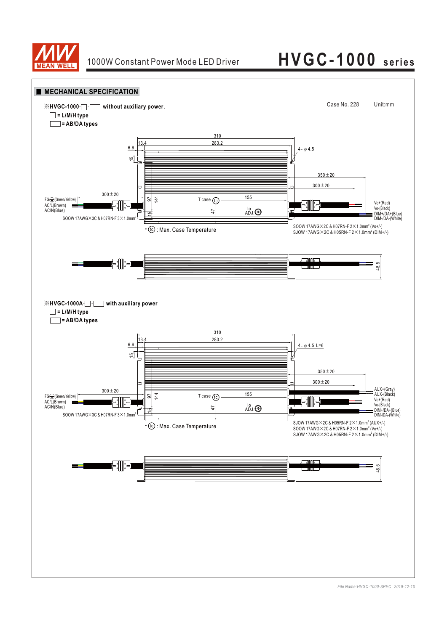

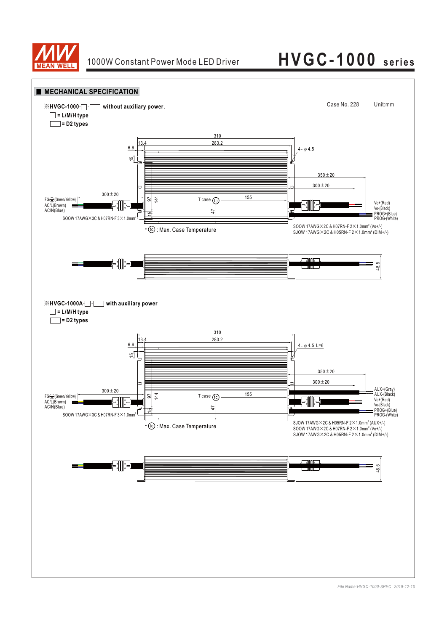